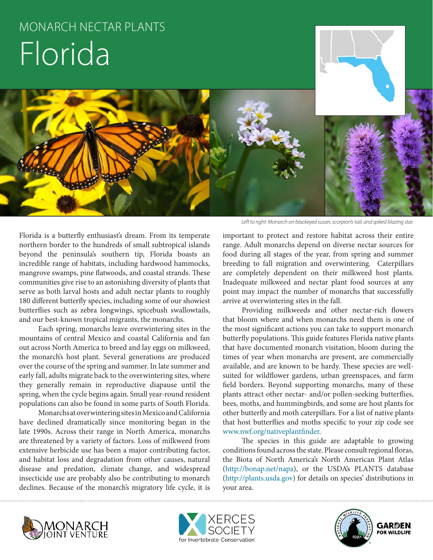# MONARCH NECTAR PLANTS Florida

Florida is a butterfly enthusiast's dream. From its temperate northern border to the hundreds of small subtropical islands beyond the peninsula's southern tip, Florida boasts an incredible range of habitats, including hardwood hammocks, mangrove swamps, pine flatwoods, and coastal strands. These communities give rise to an astonishing diversity of plants that serve as both larval hosts and adult nectar plants to roughly 180 different butterfly species, including some of our showiest butterflies such as zebra longwings, spicebush swallowtails, and our best-known tropical migrants, the monarchs.

Each spring, monarchs leave overwintering sites in the mountains of central Mexico and coastal California and fan out across North America to breed and lay eggs on milkweed, the monarch's host plant. Several generations are produced over the course of the spring and summer. In late summer and early fall, adults migrate back to the overwintering sites, where they generally remain in reproductive diapause until the spring, when the cycle begins again. Small year-round resident populations can also be found in some parts of South Florida.

Monarchs at overwintering sites in Mexico and California have declined dramatically since monitoring began in the late 1990s. Across their range in North America, monarchs are threatened by a variety of factors. Loss of milkweed from extensive herbicide use has been a major contributing factor, and habitat loss and degradation from other causes, natural disease and predation, climate change, and widespread insecticide use are probably also be contributing to monarch declines. Because of the monarch's migratory life cycle, it is

*Left to right: Monarch on blackeyed susan, scorpion's-tail, and spiked blazing star.*

important to protect and restore habitat across their entire range. Adult monarchs depend on diverse nectar sources for food during all stages of the year, from spring and summer breeding to fall migration and overwintering. Caterpillars are completely dependent on their milkweed host plants. Inadequate milkweed and nectar plant food sources at any point may impact the number of monarchs that successfully arrive at overwintering sites in the fall.

Providing milkweeds and other nectar-rich flowers that bloom where and when monarchs need them is one of the most significant actions you can take to support monarch butterfly populations. This guide features Florida native plants that have documented monarch visitation, bloom during the times of year when monarchs are present, are commercially available, and are known to be hardy. These species are wellsuited for wildflower gardens, urban greenspaces, and farm field borders. Beyond supporting monarchs, many of these plants attract other nectar- and/or pollen-seeking butterflies, bees, moths, and hummingbirds, and some are host plants for other butterfly and moth caterpillars. For a list of native plants that host butterflies and moths specific to your zip code see www.nwf.org/nativeplantfinder.

The species in this guide are adaptable to growing conditions found across the state. Please consult regional floras, the Biota of North America's North American Plant Atlas (http://bonap.net/napa), or the USDA's PLANTS database (http://plants.usda.gov) for details on species' distributions in your area.





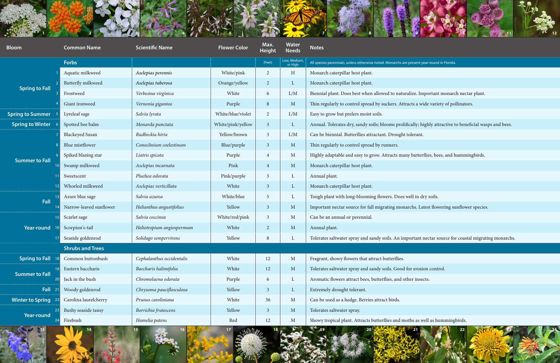



esent year-round in Florida<mark>.</mark>

ize. Important monarch nectar plant.

ts a wide variety of pollinators.

ally; highly attractive to beneficial wasps and bees.

butterflies, bees, and hummingbirds.

chs. Latest flowering sunflower species.

ortant nectar source for coastal migrating monarchs.

hs as well as hummingbirds.

| $-10$<br>$\sim$ 10 $\pm$ 10<br><b>Bloom</b> | <b>Common Name</b>      | <b>Scientific Name</b>    | <b>Flower Color</b> | Max.<br><b>Height</b> | <b>Water</b><br><b>Needs</b> | <b>A REPORT OF A RIVER COM</b><br><b>Notes</b>                                       |
|---------------------------------------------|-------------------------|---------------------------|---------------------|-----------------------|------------------------------|--------------------------------------------------------------------------------------|
|                                             | Forbs                   |                           |                     | (Feet)                | Low, Medium,<br>or High      | All species perennials, unless otherwise noted. Monarchs are present year-round in I |
| <b>Spring to Fall</b>                       | Aquatic milkweed        | Asclepias perennis        | White/pink          | $\overline{2}$        | H                            | Monarch caterpillar host plant.                                                      |
|                                             | Butterfly milkweed      | Asclepias tuberosa        | Orange/yellow       | $\overline{2}$        | $\mathbf{L}$                 | Monarch caterpillar host plant.                                                      |
|                                             | Frostweed               | Verbesina virginica       | White               | 6                     | L/M                          | Biennial plant. Does best when allowed to naturalize. Important m                    |
|                                             | Giant ironweed          | Vernonia gigantea         | Purple              | 8                     | M                            | Thin regularly to control spread by suckers. Attracts a wide variety                 |
| <b>Spring to Summer</b>                     | Lyreleaf sage           | Salvia lyrata             | White/blue/violet   | $\overline{2}$        | L/M                          | Easy to grow but prefers moist soils.                                                |
| <b>Spring to Winter</b>                     | Spotted bee balm        | Monarda punctata          | White/pink/yellow   | 3 <sup>1</sup>        | $\mathbf{L}$                 | Annual. Tolerates dry, sandy soils; blooms prolifically; highly attraction           |
| <b>Summer to Fall</b>                       | <b>Blackeyed Susan</b>  | Rudbeckia hirta           | Yellow/brown        | $\mathfrak{Z}$        | L/M                          | Can be biennial. Butterflies attractant. Drought tolerant.                           |
|                                             | Blue mistflower         | Conoclinium coelestinum   | Blue/purple         | 3 <sup>2</sup>        | M                            | Thin regularly to control spread by runners.                                         |
|                                             | Spiked blazing star     | Liatris spicata           | Purple              | $\overline{4}$        | $\mathbf{M}$                 | Highly adaptable and easy to grow. Attracts many butterflies, bees,                  |
|                                             | Swamp milkweed          | Asclepias incarnata       | Pink                | $\overline{4}$        | M                            | Monarch caterpillar host plant.                                                      |
|                                             | Sweetscent              | Pluchea odorata           | Pink/purple         | $\mathfrak{Z}$        | L                            | Annual plant.                                                                        |
|                                             | Whorled milkweed        | Asclepias verticillata    | White               | $\mathbf{3}$          | L                            | Monarch caterpillar host plant.                                                      |
| Fall                                        | Azure blue sage         | Salvia azurea             | White/blue          | 5                     | L                            | Tough plant with long-blooming flowers. Does well in dry soils.                      |
|                                             | Narrow-leaved sunflower | Helianthus angustifolius  | Yellow              | $\mathbf{3}$          | $\mathbf{M}$                 | Important nectar source for fall migrating monarchs. Latest flower                   |
|                                             | Scarlet sage            | Salvia coccinea           | White/red/pink      | $\mathfrak{Z}$        | M                            | Can be an annual or perennial.                                                       |
| Year-round<br>$17 \,$                       | Scorpion's-tail         | Heliotropium angiospermum | White               | $\overline{2}$        | M                            | Annual plant.                                                                        |
|                                             | Seaside goldenrod       | Solidago sempervirens     | Yellow              | 8                     | L                            | Tolerates saltwater spray and sandy soils. An important nectar sour                  |
|                                             | <b>Shrubs and Trees</b> |                           |                     |                       |                              |                                                                                      |
| <b>Spring to Fall</b>                       | Common buttonbush       | Cephalanthus occidentalis | White               | 12                    | M                            | Fragrant, showy flowers that attract butterflies.                                    |
| <b>Summer to Fall</b>                       | Eastern baccharis       | Baccharis halimifolia     | White               | 12                    | M                            | Tolerates saltwater spray and sandy soils. Good for erosion control.                 |
|                                             | Jack in the bush        | Chromolaena odorata       | Purple              | 6                     | L                            | Aromatic flowers attract bees, butterflies, and other insects.                       |
| Fall<br>$\overline{2}1$                     | Woody goldenrod         | Chrysoma pauciflosculosa  | Yellow              | $\mathbf{3}$          | $\Gamma$                     | Extremely drought tolerant.                                                          |
| <b>Winter to Spring</b><br><u>22</u>        | Carolina laurelcherry   | Prunus caroliniana        | White               | 36                    | M                            | Can be used as a hedge. Berries attract birds.                                       |
| <b>Year-round</b>                           | Bushy seaside tansy     | Borrichia frutescens      | Yellow              | $\mathbf{3}$          | M                            | Tolerates saltwater spray.                                                           |
|                                             | Firebush                | Hamelia patens            | Red                 | 12                    | M                            | Showy tropical plant. Attracts butterflies and moths as well as hum                  |